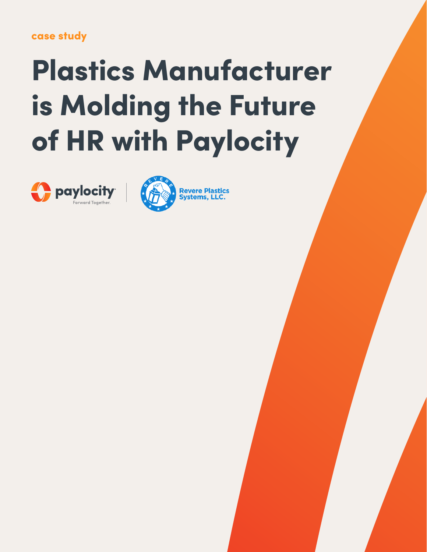## case study

# Plastics Manufacturer is Molding the Future of HR with Paylocity



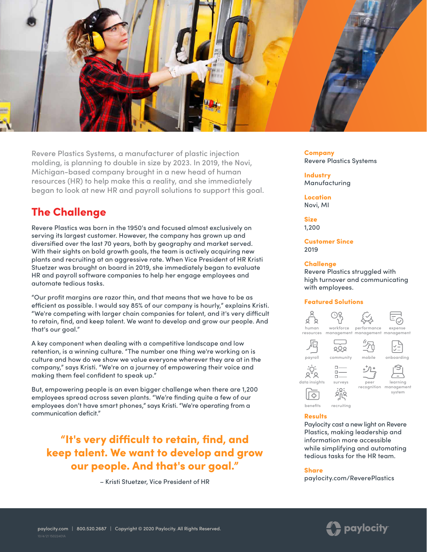

Revere Plastics Systems, a manufacturer of plastic injection molding, is planning to double in size by 2023. In 2019, the Novi, Michigan-based company brought in a new head of human resources (HR) to help make this a reality, and she immediately began to look at new HR and payroll solutions to support this goal.

## The Challenge

Revere Plastics was born in the 1950's and focused almost exclusively on serving its largest customer. However, the company has grown up and diversified over the last 70 years, both by geography and market served. With their sights on bold growth goals, the team is actively acquiring new plants and recruiting at an aggressive rate. When Vice President of HR Kristi Stuetzer was brought on board in 2019, she immediately began to evaluate HR and payroll software companies to help her engage employees and automate tedious tasks.

"Our profit margins are razor thin, and that means that we have to be as efficient as possible. I would say 85% of our company is hourly," explains Kristi. "We're competing with larger chain companies for talent, and it's very difficult to retain, find, and keep talent. We want to develop and grow our people. And that's our goal."

A key component when dealing with a competitive landscape and low retention, is a winning culture. "The number one thing we're working on is culture and how do we show we value everyone wherever they are at in the company," says Kristi. "We're on a journey of empowering their voice and making them feel confident to speak up."

But, empowering people is an even bigger challenge when there are 1,200 employees spread across seven plants. "We're finding quite a few of our employees don't have smart phones," says Kristi. "We're operating from a communication deficit."

"It's very difficult to retain, find, and keep talent. We want to develop and grow our people. And that's our goal."

– Kristi Stuetzer, Vice President of HR

Company Revere Plastics Systems

**Industry** Manufacturing

Location Novi, MI

Size 1,200

Customer Since 2019

#### **Challenge**

Revere Plastics struggled with high turnover and communicating with employees.

### Featured Solutions



#### [Results](https://www.paylocity.com/our-products/benefits/?utm_source=offline&utm_medium=pdf&utm_campaign=casestudy&asset=15022401a_revereplastics)

Paylocity cast a new light on Revere Plastics, making leadership and information more accessible while simplifying and automating tedious tasks for the HR team.

#### Share

[paylocity.com/ReverePlastics](https://www.paylocity.com/resources/resource-library/case-study/case-study-plastics-manufacturer-is-molding-the-future-of-hr-with-paylocity/?utm_source=offline&utm_medium=pdf&utm_campaign=casestudy&asset=15022401a_revereplastics)

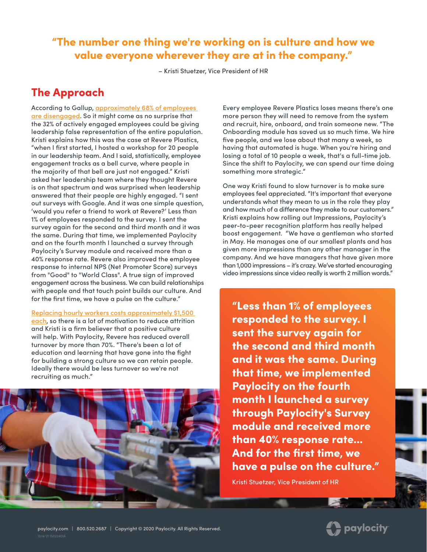## "The number one thing we're working on is culture and how we value everyone wherever they are at in the company."

– Kristi Stuetzer, Vice President of HR

## The Approach

According to Gallup, [approximately 68% of employees](https://www.inc.com/sonia-thompson/68-percent-of-employees-are-disengaged-but-there-i.html)  [are disengaged.](https://www.inc.com/sonia-thompson/68-percent-of-employees-are-disengaged-but-there-i.html) So it might come as no surprise that the 32% of actively engaged employees could be giving leadership false representation of the entire population. Kristi explains how this was the case at Revere Plastics, "when I first started, I hosted a workshop for 20 people in our leadership team. And I said, statistically, employee engagement tracks as a bell curve, where people in the majority of that bell are just not engaged." Kristi asked her leadership team where they thought Revere is on that spectrum and was surprised when leadership answered that their people are highly engaged. "I sent out surveys with Google. And it was one simple question, 'would you refer a friend to work at Revere?' Less than 1% of employees responded to the survey. I sent the survey again for the second and third month and it was the same. During that time, we implemented Paylocity and on the fourth month I launched a survey through Paylocity's Survey module and received more than a 40% response rate. Revere also improved the employee response to internal NPS (Net Promoter Score) surveys from "Good" to "World Class". A true sign of improved engagement across the business. We can build relationships with people and that touch point builds our culture. And for the first time, we have a pulse on the culture."

[Replacing hourly workers costs approximately \\$1,500](https://www.shrm.org/hr-today/news/all-things-work/pages/to-have-and-to-hold.aspx)  [each,](https://www.shrm.org/hr-today/news/all-things-work/pages/to-have-and-to-hold.aspx) so there is a lot of motivation to reduce attrition and Kristi is a firm believer that a positive culture will help. With Paylocity, Revere has reduced overall turnover by more than 70%. "There's been a lot of education and learning that have gone into the fight for building a strong culture so we can retain people. Ideally there would be less turnover so we're not recruiting as much."



Every employee Revere Plastics loses means there's one more person they will need to remove from the system and recruit, hire, onboard, and train someone new. "The Onboarding module has saved us so much time. We hire five people, and we lose about that many a week, so having that automated is huge. When you're hiring and losing a total of 10 people a week, that's a full-time job. Since the shift to Paylocity, we can spend our time doing something more strategic."

One way Kristi found to slow turnover is to make sure employees feel appreciated. "It's important that everyone understands what they mean to us in the role they play and how much of a difference they make to our customers." Kristi explains how rolling out Impressions, Paylocity's peer-to-peer recognition platform has really helped boost engagement. "We have a gentleman who started in May. He manages one of our smallest plants and has given more impressions than any other manager in the company. And we have managers that have given more than 1,000 impressions – it's crazy. We've started encouraging video impressions since video really is worth 2 million words."

"Less than 1% of employees responded to the survey. I sent the survey again for the second and third month and it was the same. During that time, we implemented Paylocity on the fourth month I launched a survey through Paylocity's Survey module and received more than 40% response rate... And for the first time, we have a pulse on the culture."

Kristi Stuetzer, Vice President of HR

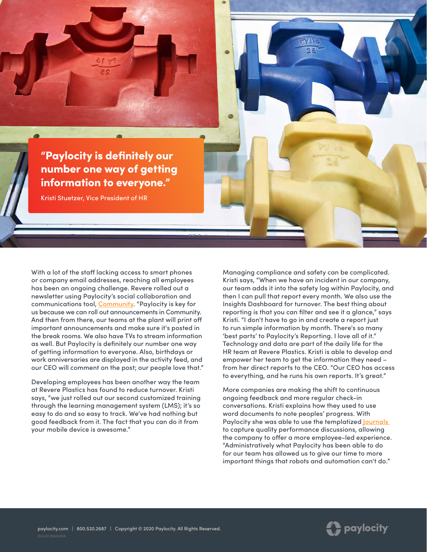

With a lot of the staff lacking access to smart phones or company email addresses, reaching all employees has been an ongoing challenge. Revere rolled out a newsletter using Paylocity's social collaboration and communications tool, [Community](https://www.paylocity.com/our-products/modern-workforce/community/?utm_source=offline&utm_medium=pdf&utm_campaign=casestudy&asset=15022401a_revereplastics). "Paylocity is key for us because we can roll out announcements in Community. And then from there, our teams at the plant will print off important announcements and make sure it's posted in the break rooms. We also have TVs to stream information as well. But Paylocity is definitely our number one way of getting information to everyone. Also, birthdays or work anniversaries are displayed in the activity feed, and our CEO will comment on the post; our people love that."

Developing employees has been another way the team at Revere Plastics has found to reduce turnover. Kristi says, "we just rolled out our second customized training through the learning management system (LMS); it's so easy to do and so easy to track. We've had nothing but good feedback from it. The fact that you can do it from your mobile device is awesome."

Managing compliance and safety can be complicated. Kristi says, "When we have an incident in our company, our team adds it into the safety log within Paylocity, and then I can pull that report every month. We also use the Insights Dashboard for turnover. The best thing about reporting is that you can filter and see it a glance," says Kristi. "I don't have to go in and create a report just to run simple information by month. There's so many 'best parts' to Paylocity's Reporting. I love all of it." Technology and data are part of the daily life for the HR team at Revere Plastics. Kristi is able to develop and empower her team to get the information they need – from her direct reports to the CEO. "Our CEO has access to everything, and he runs his own reports. It's great."

More companies are making the shift to continuous ongoing feedback and more regular check-in conversations. Kristi explains how they used to use word documents to note peoples' progress. With Paylocity she was able to use the templatized **Journals** to capture quality performance discussions, allowing the company to offer a more employee-led experience. "Administratively what Paylocity has been able to do for our team has allowed us to give our time to more important things that robots and automation can't do."